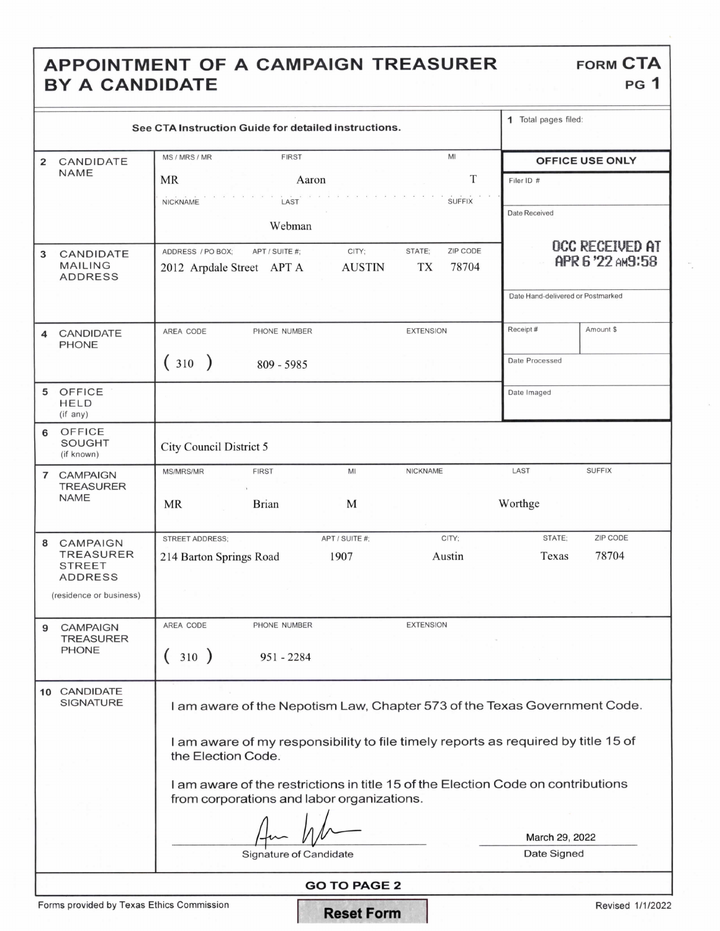## APPOINTMENT OF A CAMPAIGN TREASURER BY A CANDIDATE

| <b>FORM CTA</b> |  |
|-----------------|--|
| PG <sub>1</sub> |  |

| See CTA Instruction Guide for detailed instructions. |                                                                                                         |                                                                                                                                 |                                            | 1 Total pages filed: |  |  |
|------------------------------------------------------|---------------------------------------------------------------------------------------------------------|---------------------------------------------------------------------------------------------------------------------------------|--------------------------------------------|----------------------|--|--|
| 2                                                    | CANDIDATE<br><b>NAME</b>                                                                                | MI<br>MS / MRS / MR<br><b>FIRST</b>                                                                                             | OFFICE USE ONLY                            |                      |  |  |
|                                                      |                                                                                                         | T<br>MR<br>Aaron                                                                                                                | Filer ID #                                 |                      |  |  |
|                                                      |                                                                                                         | <b>SUFFIX</b><br><b>NICKNAME</b><br>LAST                                                                                        | Date Received                              |                      |  |  |
|                                                      |                                                                                                         | Webman                                                                                                                          |                                            |                      |  |  |
| 3                                                    | CANDIDATE<br><b>MAILING</b><br><b>ADDRESS</b>                                                           | ZIP CODE<br>CITY;<br>STATE;<br>ADDRESS / PO BOX:<br>APT / SUITE #:<br>78704<br><b>AUSTIN</b><br>TX<br>2012 Arpdale Street APT A | <b>OCC RECEIVED AT</b><br>APR 6 '22 AM9:58 |                      |  |  |
|                                                      |                                                                                                         |                                                                                                                                 | Date Hand-delivered or Postmarked          |                      |  |  |
| 4                                                    | CANDIDATE<br><b>PHONE</b>                                                                               | AREA CODE<br><b>EXTENSION</b><br>PHONE NUMBER                                                                                   | Receipt#                                   | Amount \$            |  |  |
|                                                      |                                                                                                         | (310)<br>809 - 5985                                                                                                             | Date Processed                             |                      |  |  |
|                                                      | 5 OFFICE<br><b>HELD</b><br>(if any)                                                                     |                                                                                                                                 | Date Imaged                                |                      |  |  |
| 6                                                    | OFFICE<br><b>SOUGHT</b><br>(if known)                                                                   | <b>City Council District 5</b>                                                                                                  |                                            |                      |  |  |
| $\overline{7}$                                       | <b>CAMPAIGN</b><br><b>TREASURER</b>                                                                     | <b>MS/MRS/MR</b><br><b>FIRST</b><br>MI<br>NICKNAME                                                                              | LAST                                       | <b>SUFFIX</b>        |  |  |
|                                                      | <b>NAME</b>                                                                                             | <b>Brian</b><br>M<br>MR                                                                                                         | Worthge                                    |                      |  |  |
| 8                                                    | <b>CAMPAIGN</b>                                                                                         | APT / SUITE #:<br>CITY;<br><b>STREET ADDRESS:</b>                                                                               | STATE:                                     | ZIP CODE             |  |  |
|                                                      | <b>TREASURER</b><br><b>STREET</b><br><b>ADDRESS</b>                                                     | 1907<br>Austin<br>214 Barton Springs Road                                                                                       | Texas                                      | 78704                |  |  |
|                                                      | (residence or business)                                                                                 |                                                                                                                                 |                                            |                      |  |  |
| 9                                                    | <b>CAMPAIGN</b><br>TREASURER                                                                            | <b>EXTENSION</b><br>AREA CODE<br>PHONE NUMBER                                                                                   |                                            |                      |  |  |
|                                                      | <b>PHONE</b>                                                                                            | 310 )<br>$951 - 2284$                                                                                                           |                                            |                      |  |  |
|                                                      | 10 CANDIDATE<br><b>SIGNATURE</b>                                                                        | I am aware of the Nepotism Law, Chapter 573 of the Texas Government Code.                                                       |                                            |                      |  |  |
|                                                      | I am aware of my responsibility to file timely reports as required by title 15 of<br>the Election Code. |                                                                                                                                 |                                            |                      |  |  |
|                                                      |                                                                                                         | I am aware of the restrictions in title 15 of the Election Code on contributions<br>from corporations and labor organizations.  |                                            |                      |  |  |
|                                                      |                                                                                                         | March 29, 2022                                                                                                                  |                                            |                      |  |  |
|                                                      |                                                                                                         | Signature of Candidate                                                                                                          | Date Signed                                |                      |  |  |
|                                                      | <b>GO TO PAGE 2</b>                                                                                     |                                                                                                                                 |                                            |                      |  |  |

Forms provided by Texas Ethics Commission **Reset Form** Revised 1/1/2022